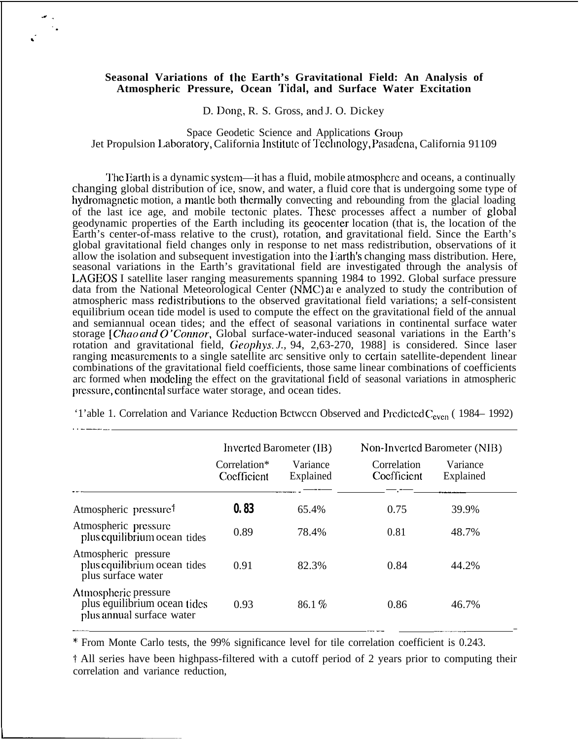## **Seasonal Variations of the Earth's Gravitational Field: An Analysis of Atmospheric Pressure, Ocean Tidal, and Surface Water Excitation**

D. Dong, R. S. Gross, and J. O. Dickey

Space Geodetic Science and Applications Group Jet Propulsion Laboratory, California Institute of Technology, Pasadena, California 91109

The Earth is a dynamic system—it has a fluid, mobile atmosphere and oceans, a continually changing global distribution of ice, snow, and water, a fluid core that is undergoing some type of hydromagnetic motion, a mantle both thermally convecting and rebounding from the glacial loading of the last ice age, and mobile tectonic plates. These processes affect a number of global geodynamic properties of the Earth including its geocenter location (that is, the location of the Earth's center-of-mass relative to the crust), rotation, and gravitational field. Since the Earth's global gravitational field changes only in response to net mass redistribution, observations of it allow the isolation and subsequent investigation into the Earth's changing mass distribution. Here, seasonal variations in the Earth's gravitational field are investigated through the analysis of LAGEOS I satellite laser ranging measurements spanning 1984 to 1992. Global surface pressure data from the National Meteorological Center  $(NMC)$  and  $e$  analyzed to study the contribution of atmospheric mass rcdistributions to the observed gravitational field variations; a self-consistent equilibrium ocean tide model is used to compute the effect on the gravitational field of the annual and semiannual ocean tides; and the effect of seasonal variations in continental surface water storage [Chao and *O* 'Connor, Global surface-water-induced seasonal variations in the Earth's rotation and gravitational field, Geophys. *J.,* 94, 2,63-270, 1988] is considered. Since laser ranging mcasurcmcnts to a single satellite arc sensitive only to ccrlain satellite-dependent linear combinations of the gravitational field coefficients, those same linear combinations of coefficients arc formed when modeling the effect on the gravitational field of seasonal variations in atmospheric pressure, continental surface water storage, and ocean tides.

|                                                                                   | Inverted Barometer (IB)     |                       | Non-Inverted Barometer (NIB) |                       |
|-----------------------------------------------------------------------------------|-----------------------------|-----------------------|------------------------------|-----------------------|
|                                                                                   | Correlation*<br>Coefficient | Variance<br>Explained | Correlation<br>Coefficient   | Variance<br>Explained |
| Atmospheric pressure <sup>†</sup>                                                 | 0.83                        | 65.4%                 | 0.75                         | 39.9%                 |
| Atmospheric pressure<br>plus equilibrium ocean tides                              | 0.89                        | 78.4%                 | 0.81                         | 48.7%                 |
| Atmospheric pressure<br>plus equilibrium ocean tides<br>plus surface water        | 0.91                        | 82.3%                 | 0.84                         | 44.2%                 |
| Atmospheric pressure<br>plus equilibrium ocean tides<br>plus annual surface water | 0.93                        | 86.1%                 | 0.86                         | 46.7%                 |

'1'able 1. Correlation and Variance Reduction Bctwccn Observed and Predicted C<sub>even</sub> (1984–1992)

\* From Monte Carlo tests, the 99% significance level for tile correlation coefficient is 0.243.

f All series have been highpass-filtered with a cutoff period of 2 years prior to computing their correlation and variance reduction,